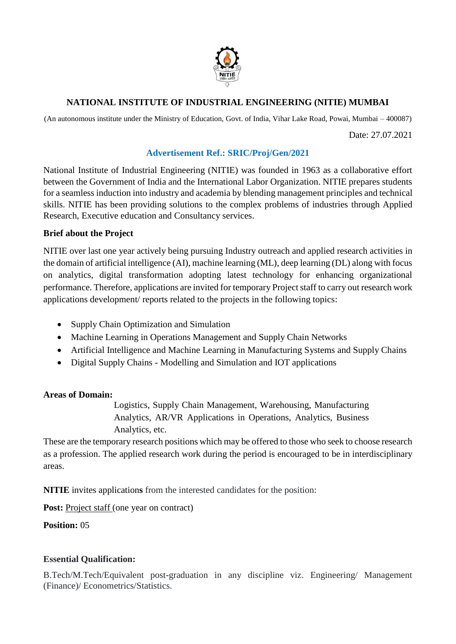

# **NATIONAL INSTITUTE OF INDUSTRIAL ENGINEERING (NITIE) MUMBAI**

(An autonomous institute under the Ministry of Education, Govt. of India, Vihar Lake Road, Powai, Mumbai – 400087)

Date: 27.07.2021

## **Advertisement Ref.: SRIC/Proj/Gen/2021**

National Institute of Industrial Engineering (NITIE) was founded in 1963 as a collaborative effort between the Government of India and the International Labor Organization. NITIE prepares students for a seamless induction into industry and academia by blending management principles and technical skills. NITIE has been providing solutions to the complex problems of industries through Applied Research, Executive education and Consultancy services.

## **Brief about the Project**

NITIE over last one year actively being pursuing Industry outreach and applied research activities in the domain of artificial intelligence (AI), machine learning (ML), deep learning (DL) along with focus on analytics, digital transformation adopting latest technology for enhancing organizational performance. Therefore, applications are invited for temporary Project staff to carry out research work applications development/ reports related to the projects in the following topics:

- Supply Chain Optimization and Simulation
- Machine Learning in Operations Management and Supply Chain Networks
- Artificial Intelligence and Machine Learning in Manufacturing Systems and Supply Chains
- Digital Supply Chains Modelling and Simulation and IOT applications

### **Areas of Domain:**

Logistics, Supply Chain Management, Warehousing, Manufacturing Analytics, AR/VR Applications in Operations, Analytics, Business Analytics, etc.

These are the temporary research positions which may be offered to those who seek to choose research as a profession. The applied research work during the period is encouraged to be in interdisciplinary areas.

**NITIE** invites application**s** from the interested candidates for the position:

**Post:** Project staff (one year on contract)

**Position:** 05

### **Essential Qualification:**

B.Tech/M.Tech/Equivalent post-graduation in any discipline viz. Engineering/ Management (Finance)/ Econometrics/Statistics.